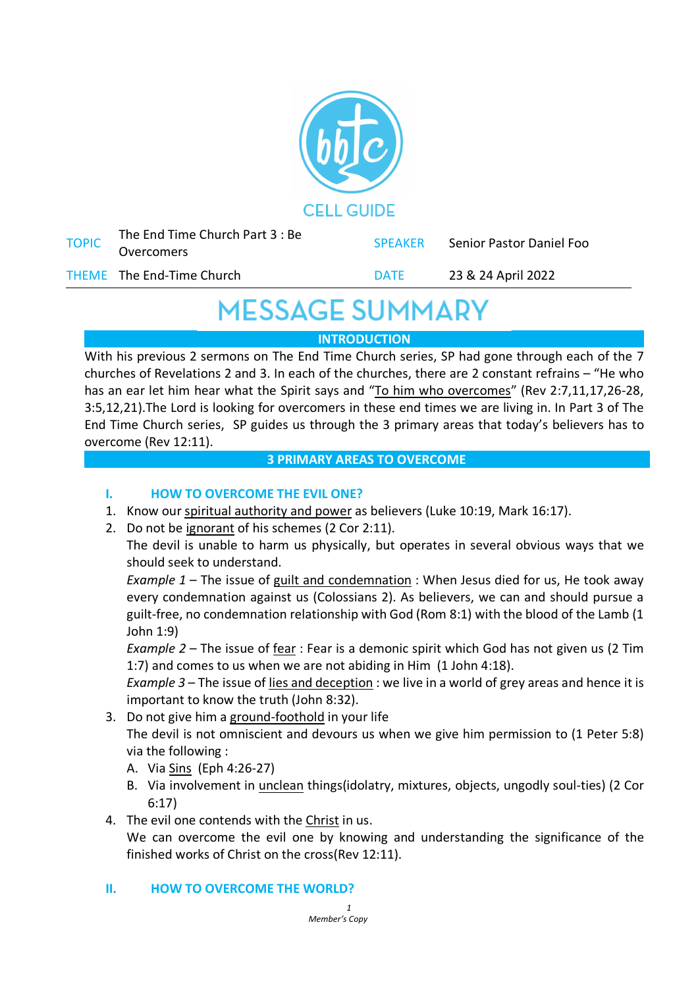

| <b>TOPIC</b> | The End Time Church Part 3 : Be<br>Overcomers | <b>SPEAKER</b> | Senior Pastor Daniel Foo |
|--------------|-----------------------------------------------|----------------|--------------------------|
|              | THEME The End-Time Church                     | <b>DATE</b>    | 23 & 24 April 2022       |

# **MESSAGE SUMMARY**

### **INTRODUCTION**

With his previous 2 sermons on The End Time Church series, SP had gone through each of the 7 churches of Revelations 2 and 3. In each of the churches, there are 2 constant refrains – "He who has an ear let him hear what the Spirit says and "To him who overcomes" (Rev 2:7,11,17,26-28, 3:5,12,21).The Lord is looking for overcomers in these end times we are living in. In Part 3 of The End Time Church series, SP guides us through the 3 primary areas that today's believers has to overcome (Rev 12:11).

#### **3 PRIMARY AREAS TO OVERCOME**

## **I. HOW TO OVERCOME THE EVIL ONE?**

- 1. Know our spiritual authority and power as believers (Luke 10:19, Mark 16:17).
- 2. Do not be ignorant of his schemes (2 Cor 2:11).

The devil is unable to harm us physically, but operates in several obvious ways that we should seek to understand.

*Example 1* – The issue of guilt and condemnation : When Jesus died for us, He took away every condemnation against us (Colossians 2). As believers, we can and should pursue a guilt-free, no condemnation relationship with God (Rom 8:1) with the blood of the Lamb (1 John 1:9)

*Example 2* – The issue of fear : Fear is a demonic spirit which God has not given us (2 Tim 1:7) and comes to us when we are not abiding in Him (1 John 4:18).

*Example 3* – The issue of lies and deception : we live in a world of grey areas and hence it is important to know the truth (John 8:32).

3. Do not give him a ground-foothold in your life

The devil is not omniscient and devours us when we give him permission to (1 Peter 5:8) via the following :

- A. Via Sins (Eph 4:26-27)
- B. Via involvement in unclean things(idolatry, mixtures, objects, ungodly soul-ties) (2 Cor 6:17)
- 4. The evil one contends with the Christ in us.

We can overcome the evil one by knowing and understanding the significance of the finished works of Christ on the cross(Rev 12:11).

#### **II. HOW TO OVERCOME THE WORLD?**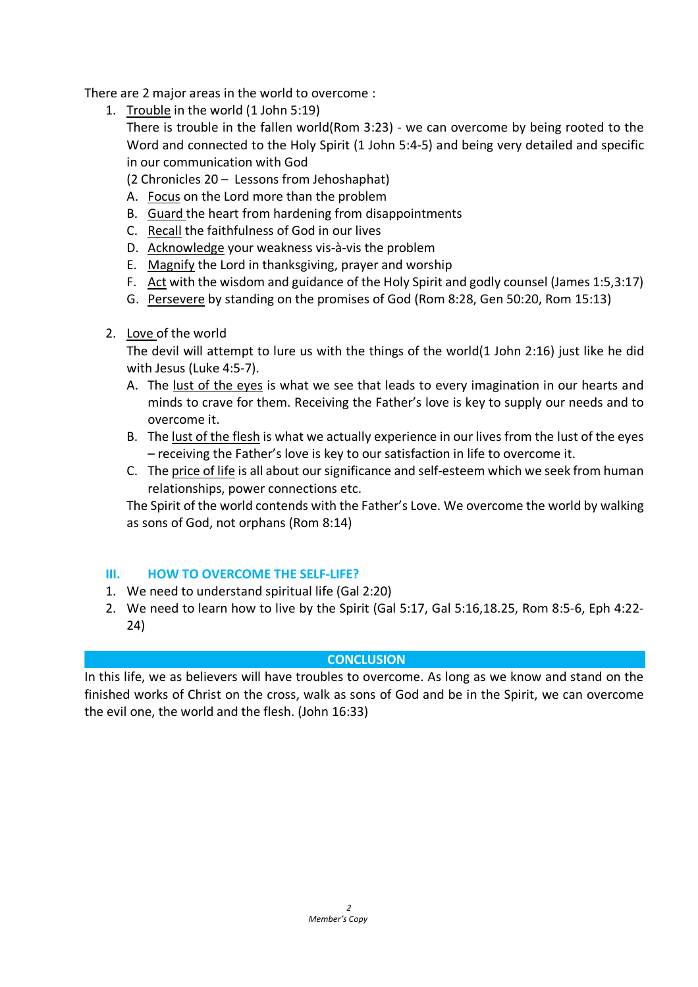There are 2 major areas in the world to overcome :

- 1. Trouble in the world (1 John 5:19) There is trouble in the fallen world(Rom 3:23) - we can overcome by being rooted to the Word and connected to the Holy Spirit (1 John 5:4-5) and being very detailed and specific in our communication with God
	- (2 Chronicles 20 Lessons from Jehoshaphat)
	- A. Focus on the Lord more than the problem
	- B. Guard the heart from hardening from disappointments
	- C. Recall the faithfulness of God in our lives
	- D. Acknowledge your weakness vis-à-vis the problem
	- E. Magnify the Lord in thanksgiving, prayer and worship
	- F. Act with the wisdom and guidance of the Holy Spirit and godly counsel (James 1:5,3:17)
	- G. Persevere by standing on the promises of God (Rom 8:28, Gen 50:20, Rom 15:13)
- 2. Love of the world

The devil will attempt to lure us with the things of the world(1 John 2:16) just like he did with Jesus (Luke 4:5-7).

- A. The lust of the eyes is what we see that leads to every imagination in our hearts and minds to crave for them. Receiving the Father's love is key to supply our needs and to overcome it.
- B. The lust of the flesh is what we actually experience in our lives from the lust of the eyes – receiving the Father's love is key to our satisfaction in life to overcome it.
- C. The price of life is all about our significance and self-esteem which we seek from human relationships, power connections etc.

The Spirit of the world contends with the Father's Love. We overcome the world by walking as sons of God, not orphans (Rom 8:14)

#### **III. HOW TO OVERCOME THE SELF-LIFE?**

- 1. We need to understand spiritual life (Gal 2:20)
- 2. We need to learn how to live by the Spirit (Gal 5:17, Gal 5:16,18.25, Rom 8:5-6, Eph 4:22- 24)

#### **CONCLUSION**

In this life, we as believers will have troubles to overcome. As long as we know and stand on the finished works of Christ on the cross, walk as sons of God and be in the Spirit, we can overcome the evil one, the world and the flesh. (John 16:33)